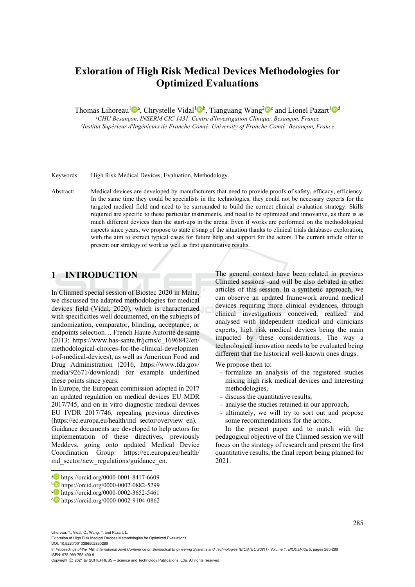# **Exloration of High Risk Medical Devices Methodologies for Optimized Evaluations**

Thomas Lihoreau<sup>1</sup> a, Chrystelle Vidal<sup>1</sup> b, Tianguang Wang<sup>2</sup> and Lionel Pazart<sup>1</sup> b<sup>d</sup><sup>1</sup>CHU Besançon, INSERM CIC 1431, Centre d'Investigation Clinique, Besançon, France

*1CHU Besançon, INSERM CIC 1431, Centre d'Investigation Clinique, Besançon, France 2Institut Supérieur d'Ingénieurs de Franche-Comté, University of Franche-Comté, Besançon, France* 

Keywords: High Risk Medical Devices, Evaluation, Methodology.

Abstract: Medical devices are developed by manufacturers that need to provide proofs of safety, efficiency, efficiency. In the same time they could be specialists in the technologies, they could not be necessary experts for the targeted medical field and need to be surrounded to build the correct clinical evaluation strategy. Skills required are specific to these particular instruments, and need to be optimized and innovative, as there is as much different devices than the start-ups in the arena. Even if works are performed on the methodological aspects since years, we propose to state a snap of the situation thanks to clinical trials databases exploration, with the aim to extract typical cases for future help and support for the actors. The current article offer to present our strategy of work as well as first quantitative results.

## **1 INTRODUCTION**

In Clinmed special session of Biostec 2020 in Malta, we discussed the adapted methodologies for medical devices field (Vidal, 2020), which is characterized with specificities well documented, on the subjects of randomization, comparator, blinding, acceptance, or endpoints selection… French Haute Autorité de santé (2013: https://www.has-sante.fr/jcms/c\_1696842/en/ methodological-choices-for-the-clinical-developmen t-of-medical-devices), as well as American Food and Drug Administration (2016, https://www.fda.gov/ media/92671/download) for example underlined these points since years.

In Europe, the European commission adopted in 2017 an updated regulation on medical devices EU MDR 2017/745, and on in vitro diagnostic medical devices EU IVDR 2017/746, repealing previous directives (https://ec.europa.eu/health/md\_sector/overview\_en).

Guidance documents are developed to help actors for implementation of these directives, previously Meddevs, going onto updated Medical Device Coordination Group: https://ec.europa.eu/health/ md\_sector/new\_regulations/guidance\_en.

The general context have been related in previous Clinmed sessions -and will be also debated in other articles of this session. In a synthetic approach, we can observe an updated framework around medical devices requiring more clinical evidences, through clinical investigations conceived, realized and analysed with independent medical and clinicians experts, high risk medical devices being the main impacted by these considerations. The way a technological innovation needs to be evaluated being different that the historical well-known ones drugs.

We propose then to:

- formalize an analysis of the registered studies mixing high risk medical devices and interesting methodologies,
- discuss the quantitative results,
- analyse the studies retained in our approach,
- ultimately, we will try to sort out and propose some recommendations for the actors.

In the present paper and to match with the pedagogical objective of the Clinmed session we will focus on the strategy of research and present the first quantitative results, the final report being planned for 2021.

Lihoreau, T., Vidal, C., Wang, T. and Pazart, L.

l

In *Proceedings of the 14th International Joint Conference on Biomedical Engineering Systems and Technologies (BIOSTEC 2021) - Volume 1: BIODEVICES*, pages 285-289 ISBN: 978-989-758-490-9

a https://orcid.org/0000-0001-8417-6609<br>
https://orcid.org/0000-0002-0882-5299<br>
https://orcid.org/0000-0002-3652-5461<br>
https://orcid.org/0000-0002-9104-0862

Exloration of High Risk Medical Devices Methodologies for Optimized Evaluations.

DOI: 10.5220/0010386502850289

Copyright © 2021 by SCITEPRESS - Science and Technology Publications, Lda. All rights reserved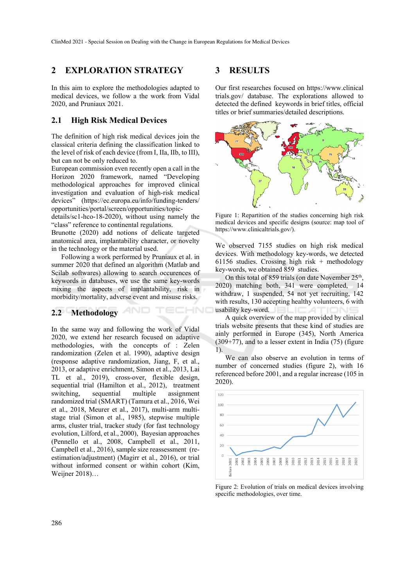## **2 EXPLORATION STRATEGY**

In this aim to explore the methodologies adapted to medical devices, we follow a the work from Vidal 2020, and Pruniaux 2021.

### **2.1 High Risk Medical Devices**

The definition of high risk medical devices join the classical criteria defining the classification linked to the level of risk of each device (from I, IIa, IIb, to III), but can not be only reduced to.

European commission even recently open a call in the Horizon 2020 framework, named "Developing methodological approaches for improved clinical investigation and evaluation of high-risk medical devices" (https://ec.europa.eu/info/funding-tenders/ opportunities/portal/screen/opportunities/topic-

details/sc1-hco-18-2020), without using namely the "class" reference to continental regulations.

Brunotte (2020) add notions of delicate targeted anatomical area, implantability character, or novelty in the technology or the material used.

Following a work performed by Pruniaux et al. in summer 2020 that defined an algorithm (Matlab and Scilab softwares) allowing to search occurences of keywords in databases, we use the same key-words mixing the aspects of implantability, risk in morbidity/mortality, adverse event and misuse risks.

#### **2.2 Methodology**

In the same way and following the work of Vidal 2020, we extend her research focused on adaptive methodologies, with the concepts of : Zelen randomization (Zelen et al. 1990), adaptive design (response adaptive randomization, Jiang, F, et al., 2013, or adaptive enrichment, Simon et al., 2013, Lai TL et al., 2019), cross-over, flexible design, sequential trial (Hamilton et al., 2012), treatment switching, sequential multiple assignment randomized trial (SMART) (Tamura et al., 2016, Wei et al., 2018, Meurer et al., 2017), multi-arm multistage trial (Simon et al., 1985), stepwise multiple arms, cluster trial, tracker study (for fast technology evolution, Lilford, et al., 2000), Bayesian approaches (Pennello et al., 2008, Campbell et al., 2011, Campbell et al., 2016), sample size reassessment (reestimation/adjustment) (Magirr et al., 2016), or trial without informed consent or within cohort (Kim, Weijner 2018)…

#### **3 RESULTS**

Our first researches focused on https://www.clinical trials.gov/ database. The explorations allowed to detected the defined keywords in brief titles, official titles or brief summaries/detailed descriptions.



Figure 1: Repartition of the studies concerning high risk medical devices and specific designs (source: map tool of https://www.clinicaltrials.gov/).

We observed 7155 studies on high risk medical devices. With methodology key-words, we detected 61156 studies. Crossing high risk + methodology key-words, we obtained 859 studies.

On this total of 859 trials (on date November  $25<sup>th</sup>$ , 2020) matching both, 341 were completed, 14 withdraw, 1 suspended, 54 not yet recruiting, 142 with results, 130 accepting healthy volunteers, 6 with usability key-word.

A quick overview of the map provided by clinical trials website presents that these kind of studies are ainly performed in Europe (345), North America  $(309+77)$ , and to a lesser extent in India  $(75)$  (figure 1).

We can also observe an evolution in terms of number of concerned studies (figure 2), with 16 referenced before 2001, and a regular increase (105 in 2020).



Figure 2: Evolution of trials on medical devices involving specific methodologies, over time.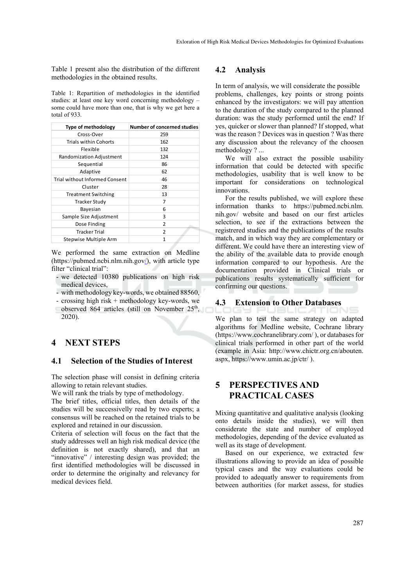Table 1 present also the distribution of the different methodologies in the obtained results.

Table 1: Repartition of methodologies in the identified studies: at least one key word concerning methodology – some could have more than one, that is why we get here a total of 933.

| <b>Type of methodology</b>     | <b>Number of concerned studies</b> |
|--------------------------------|------------------------------------|
| Cross-Over                     | 259                                |
| <b>Trials within Cohorts</b>   | 162                                |
| Flexible                       | 132                                |
| Randomization Adjustment       | 124                                |
| Sequential                     | 86                                 |
| Adaptive                       | 62                                 |
| Trial without Informed Consent | 46                                 |
| Cluster                        | 28                                 |
| <b>Treatment Switching</b>     | 13                                 |
| <b>Tracker Study</b>           | 7                                  |
| Bayesian                       | 6                                  |
| Sample Size Adjustment         | 3                                  |
| Dose Finding                   | 2                                  |
| <b>Tracker Trial</b>           | 2                                  |
| Stepwise Multiple Arm          | 1                                  |

We performed the same extraction on Medline (https://pubmed.ncbi.nlm.nih.gov/), with article type filter "clinical trial":

- we detected 10380 publications on high risk medical devices,
- with methodology key-words, we obtained 88560,
- crossing high risk + methodology key-words, we
- observed 864 articles (still on November 25<sup>th</sup>, 2020).

## **4 NEXT STEPS**

#### **4.1 Selection of the Studies of Interest**

The selection phase will consist in defining criteria allowing to retain relevant studies.

We will rank the trials by type of methodology.

The brief titles, official titles, then details of the studies will be successivelly read by two experts; a consensus will be reached on the retained trials to be explored and retained in our discussion.

Criteria of selection will focus on the fact that the study addresses well an high risk medical device (the definition is not exactly shared), and that an "innovative" / interesting design was provided; the first identified methodologies will be discussed in order to determine the originalty and relevancy for medical devices field.

## **4.2 Analysis**

In term of analysis, we will considerate the possible problems, challenges, key points or strong points enhanced by the investigators: we will pay attention to the duration of the study compared to the planned duration: was the study performed until the end? If yes, quicker or slower than planned? If stopped, what was the reason ? Devices was in question ? Was there any discussion about the relevancy of the choosen methodology ? ...

We will also extract the possible usability information that could be detected with specific methodologies, usability that is well know to be important for considerations on technological innovations.

For the results published, we will explore these information thanks to https://pubmed.ncbi.nlm. nih.gov/ website and based on our first articles selection, to see if the extractions between the registrered studies and the publications of the results match, and in which way they are complementary or different. We could have there an interesting view of the ability of the available data to provide enough information compared to our hypothesis. Are the documentation provided in Clinical trials or publications results systematically sufficient for confirming our questions.

#### **4.3 Extension to Other Databases**

We plan to test the same strategy on adapted algorithms for Medline website, Cochrane library (https://www.cochranelibrary.com/ ), or databases for clinical trials performed in other part of the world (example in Asia: http://www.chictr.org.cn/abouten. aspx, https://www.umin.ac.jp/ctr/ ).

## **5 PERSPECTIVES AND PRACTICAL CASES**

Mixing quantitative and qualitative analysis (looking onto details inside the studies), we will then considerate the state and number of employed methodologies, depending of the device evaluated as well as its stage of development.

Based on our experience, we extracted few illustrations allowing to provide an idea of possible typical cases and the way evaluations could be provided to adequatly answer to requirements from between authorities (for market assess, for studies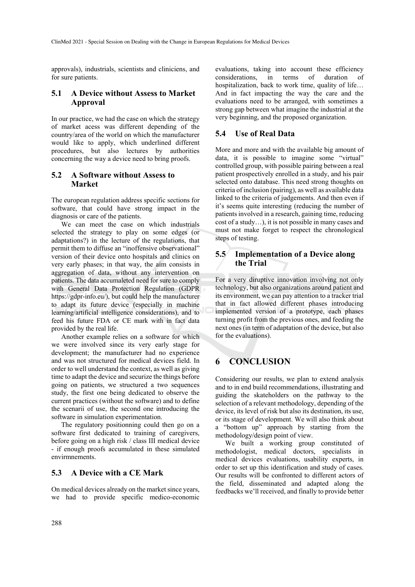approvals), industrials, scientists and cliniciens, and for sure patients.

#### **5.1 A Device without Assess to Market Approval**

In our practice, we had the case on which the strategy of market acess was different depending of the country/area of the world on which the manufacturer would like to apply, which underlined different procedures, but also lectures by authorities concerning the way a device need to bring proofs.

### **5.2 A Software without Assess to Market**

The european regulation address specific sections for software, that could have strong impact in the diagnosis or care of the patients.

We can meet the case on which industrials selected the strategy to play on some edges (or adaptations?) in the lecture of the regulations, that permit them to diffuse an "inoffensive observational" version of their device onto hospitals and clinics on very early phases; in that way, the aim consists in aggregation of data, without any intervention on patients. The data accumaleted need for sure to comply with General Data Protection Regulation (GDPR https://gdpr-info.eu/), but could help the manufacturer to adapt its future device (especially in machine learning/artificial intelligence considerations), and to feed his future FDA or CE mark with in fact data provided by the real life.

Another example relies on a software for which we were involved since its very early stage for development; the manufacturer had no experience and was not structured for medical devices field. In order to well understand the context, as well as giving time to adapt the device and securize the things before going on patients, we structured a two sequences study, the first one being dedicated to observe the current practices (without the software) and to define the scenarii of use, the second one introducing the software in simulation experimentation.

The regulatory positionning could then go on a software first dedicated to training of caregivers, before going on a high risk / class III medical device - if enough proofs accumulated in these simulated envirmnements.

## **5.3 A Device with a CE Mark**

On medical devices already on the market since years, we had to provide specific medico-economic

evaluations, taking into account these efficiency considerations, in terms of duration of hospitalization, back to work time, quality of life… And in fact impacting the way the care and the evaluations need to be arranged, with sometimes a strong gap between what imagine the industrial at the very beginning, and the proposed organization.

## **5.4 Use of Real Data**

More and more and with the available big amount of data, it is possible to imagine some "virtual" controlled group, with possible pairing between a real patient prospectively enrolled in a study, and his pair selected onto database. This need strong thoughts on criteria of inclusion (pairing), as well as available data linked to the criteria of judgements. And then even if it's seems quite interesting (reducing the number of patients involved in a research, gaining time, reducing cost of a study…), it is not possible in many cases and must not make forget to respect the chronological steps of testing.

## **5.5 Implementation of a Device along the Trial**

For a very diruptive innovation involving not only technology, but also organizations around patient and its environment, we can pay attention to a tracker trial that in fact allowed different phases introducing implemented version of a prototype, each phases turning profit from the previous ones, and feeding the next ones (in term of adaptation of the device, but also for the evaluations).

## **6 CONCLUSION**

Considering our results, we plan to extend analysis and to in end build recommendations, illustrating and guiding the skateholders on the pathway to the selection of a relevant methodology, depending of the device, its level of risk but also its destination, its use, or its stage of development. We will also think about a "bottom up" approach by starting from the methodology/design point of view.

We built a working group constituted of methodologist, medical doctors, specialists in medical devices evaluations, usability experts, in order to set up this identification and study of cases. Our results will be confronted to different actors of the field, disseminated and adapted along the feedbacks we'll received, and finally to provide better